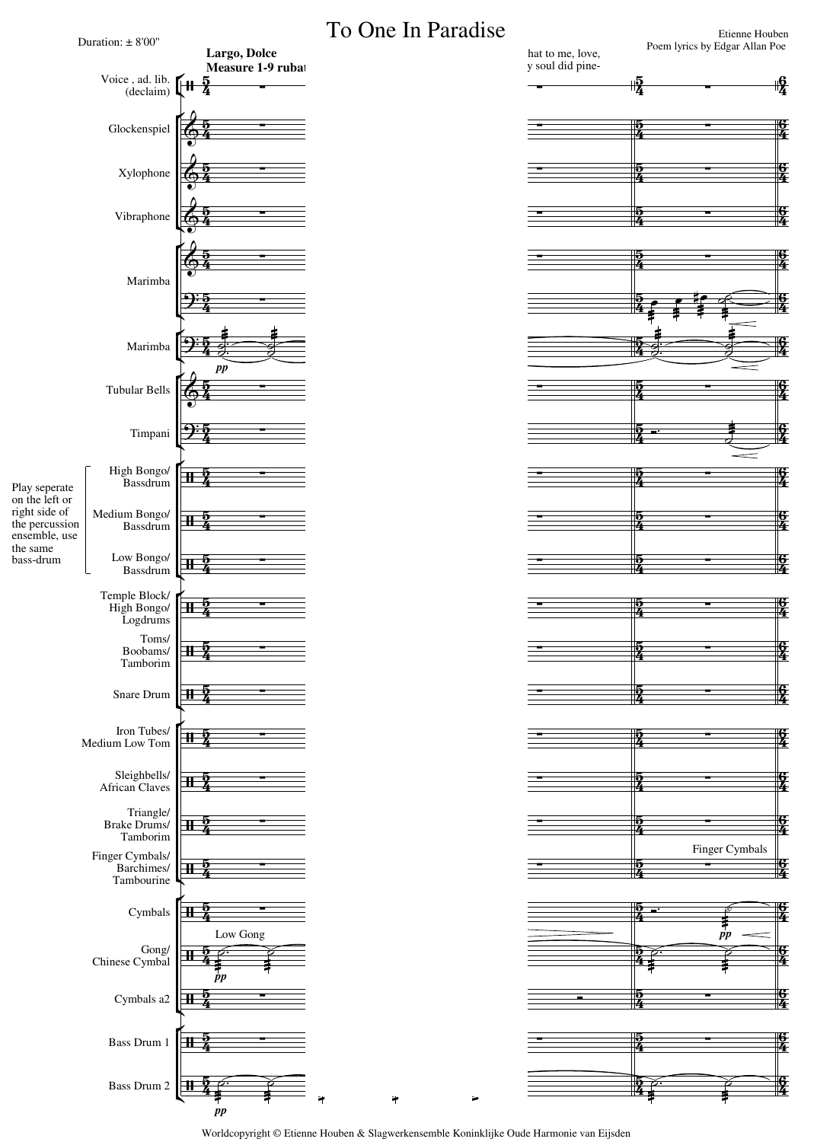

Worldcopyright © Etienne Houben & Slagwerkensemble Koninklijke Oude Harmonie van Eijsden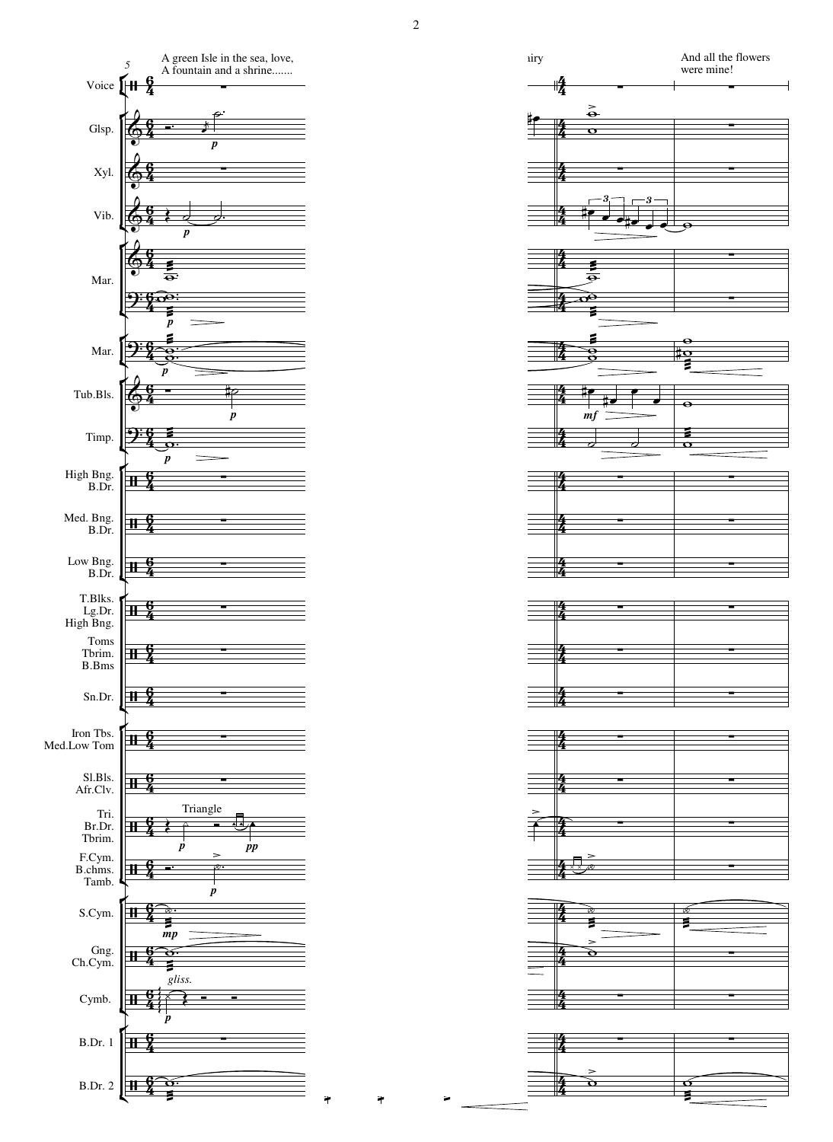



l

=

Ŧ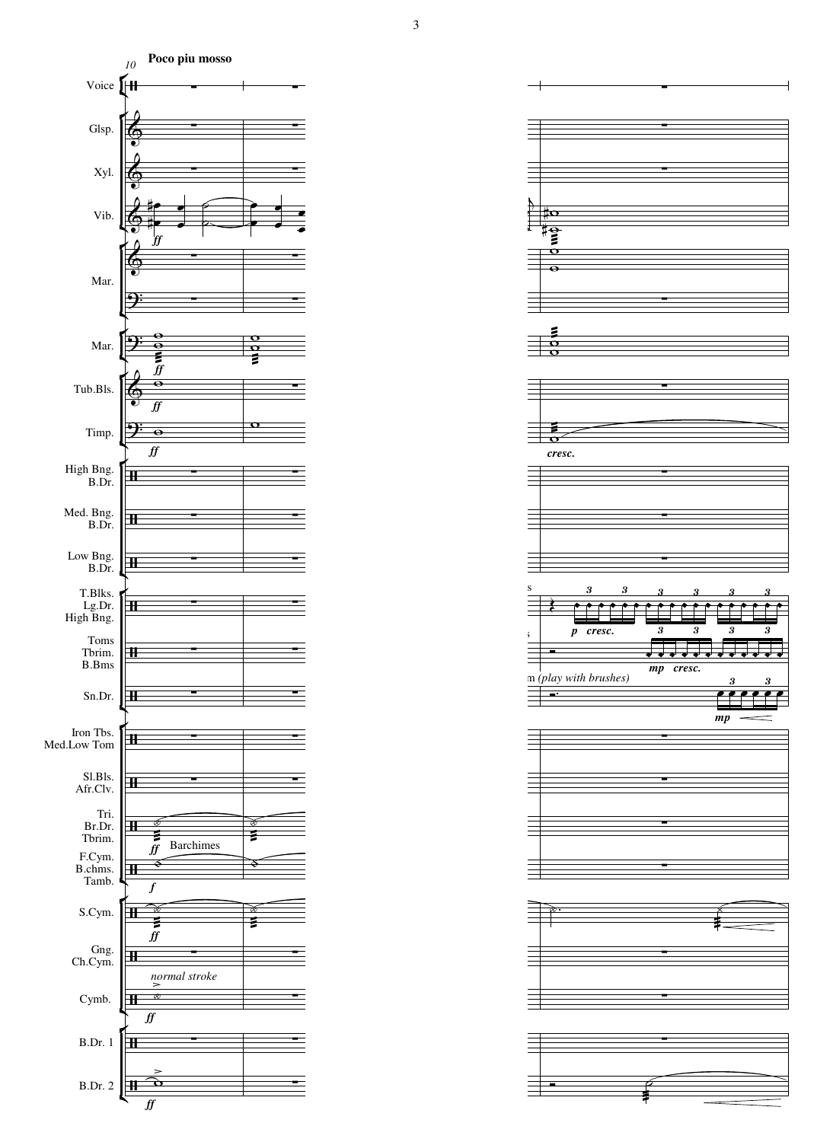



l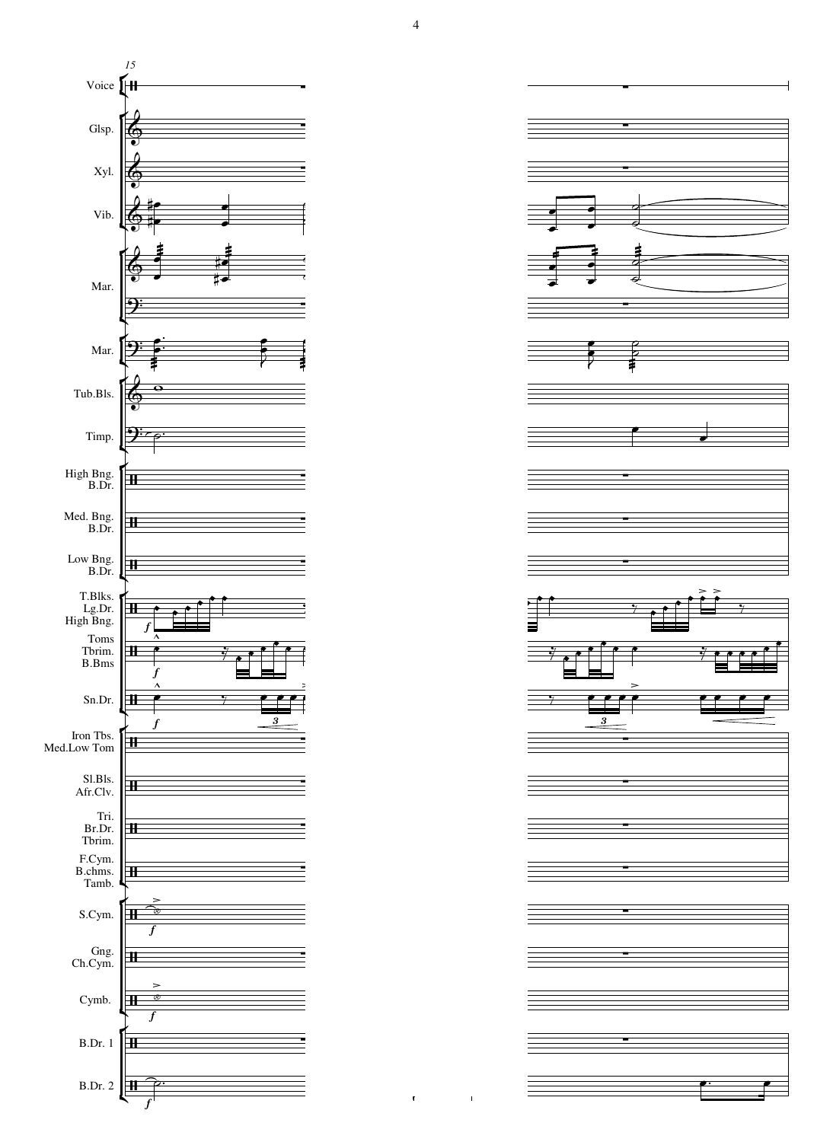



,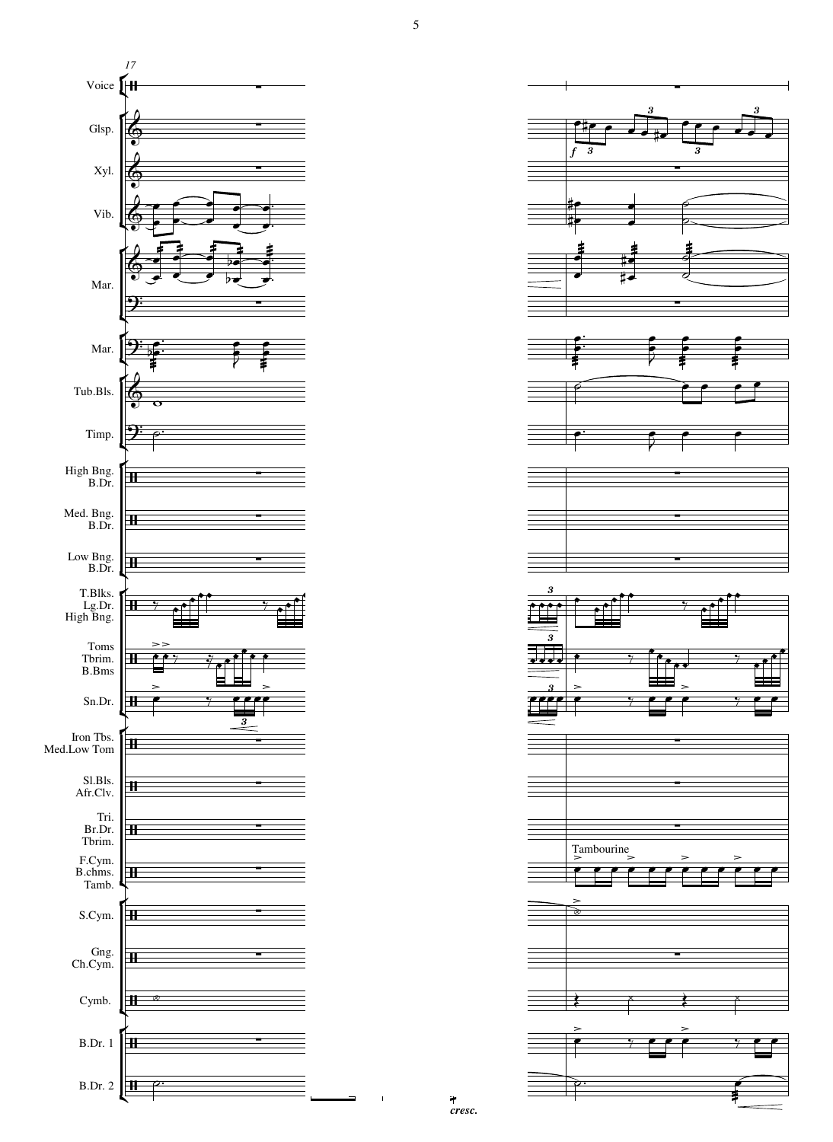



*cresc.*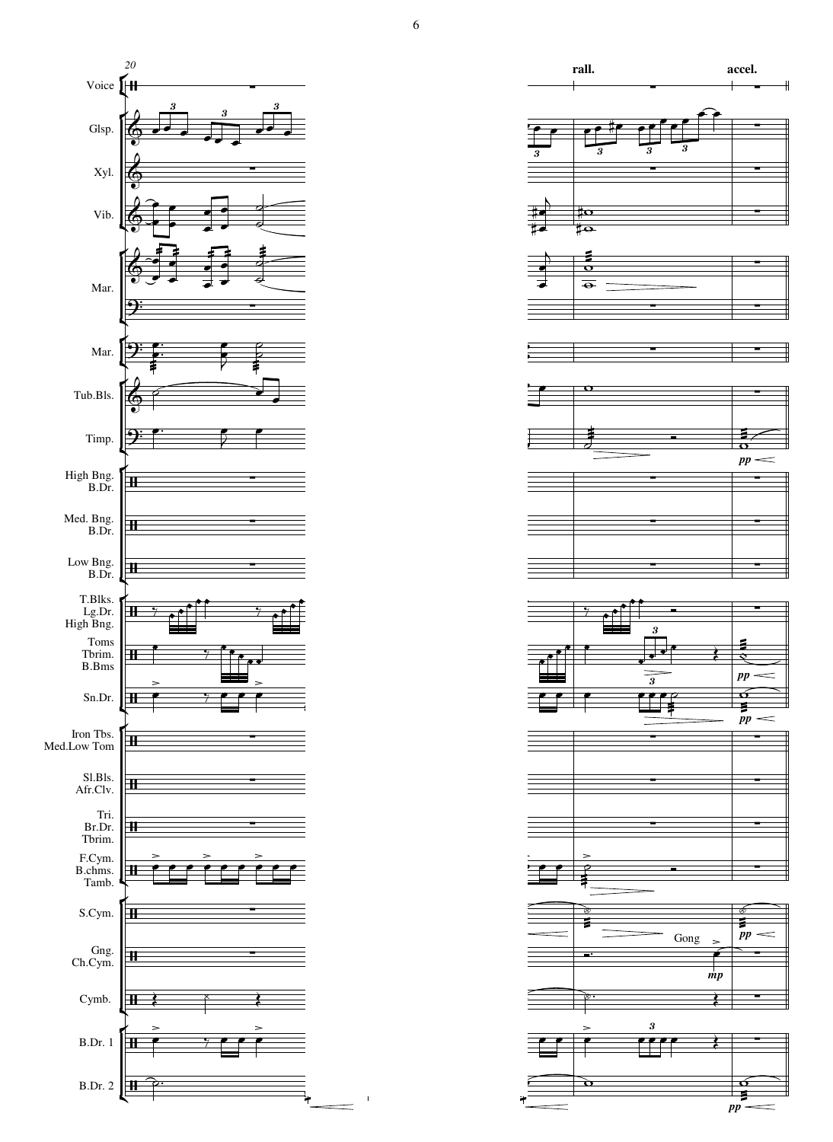

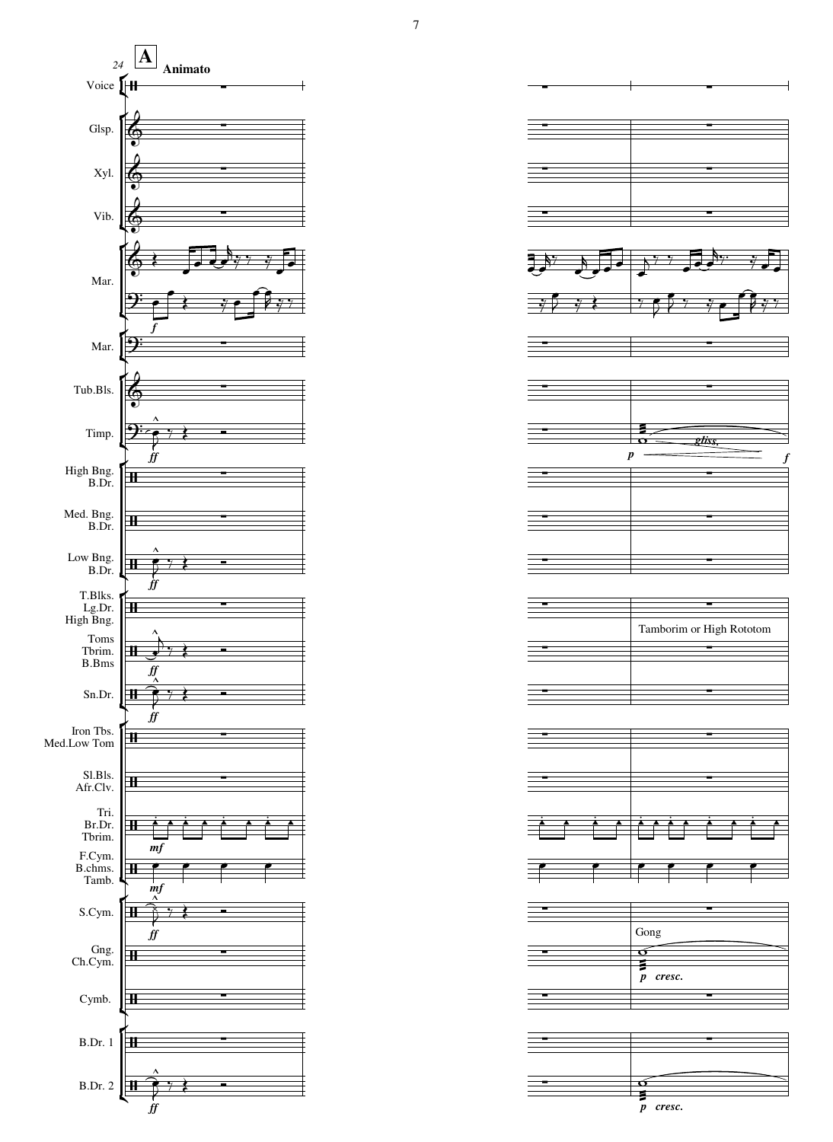



ó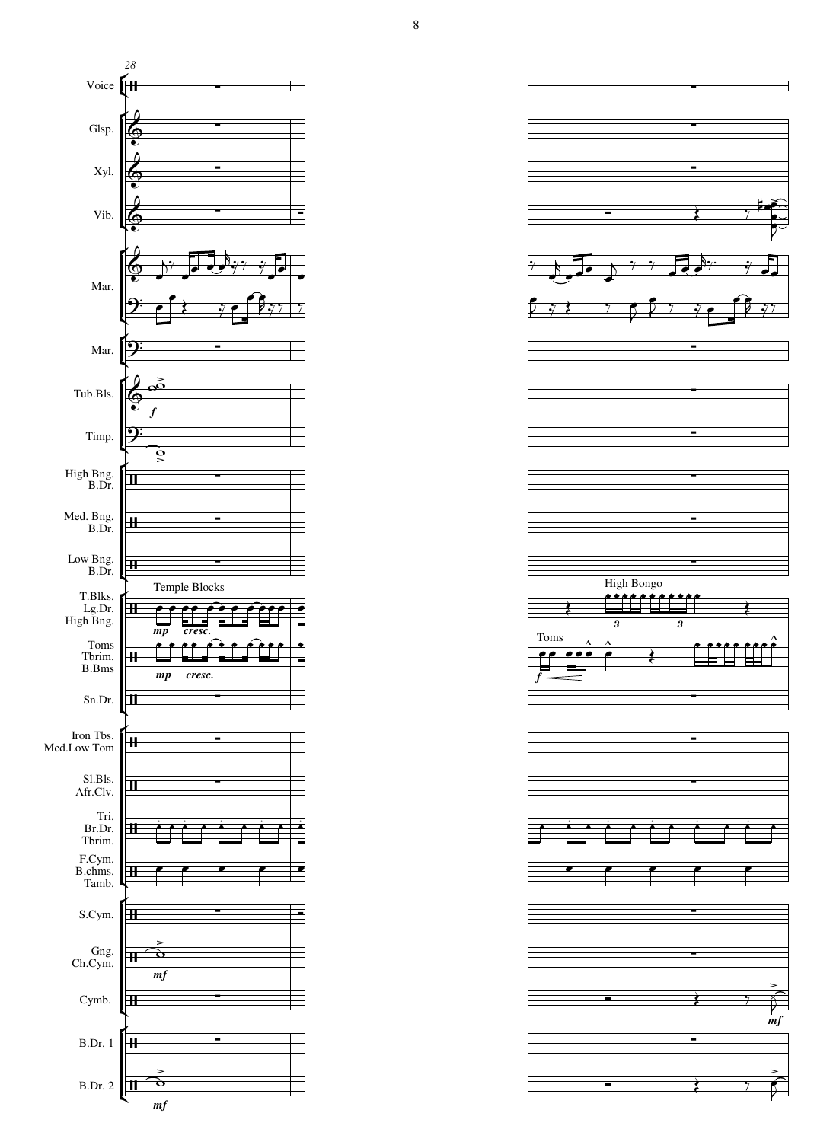

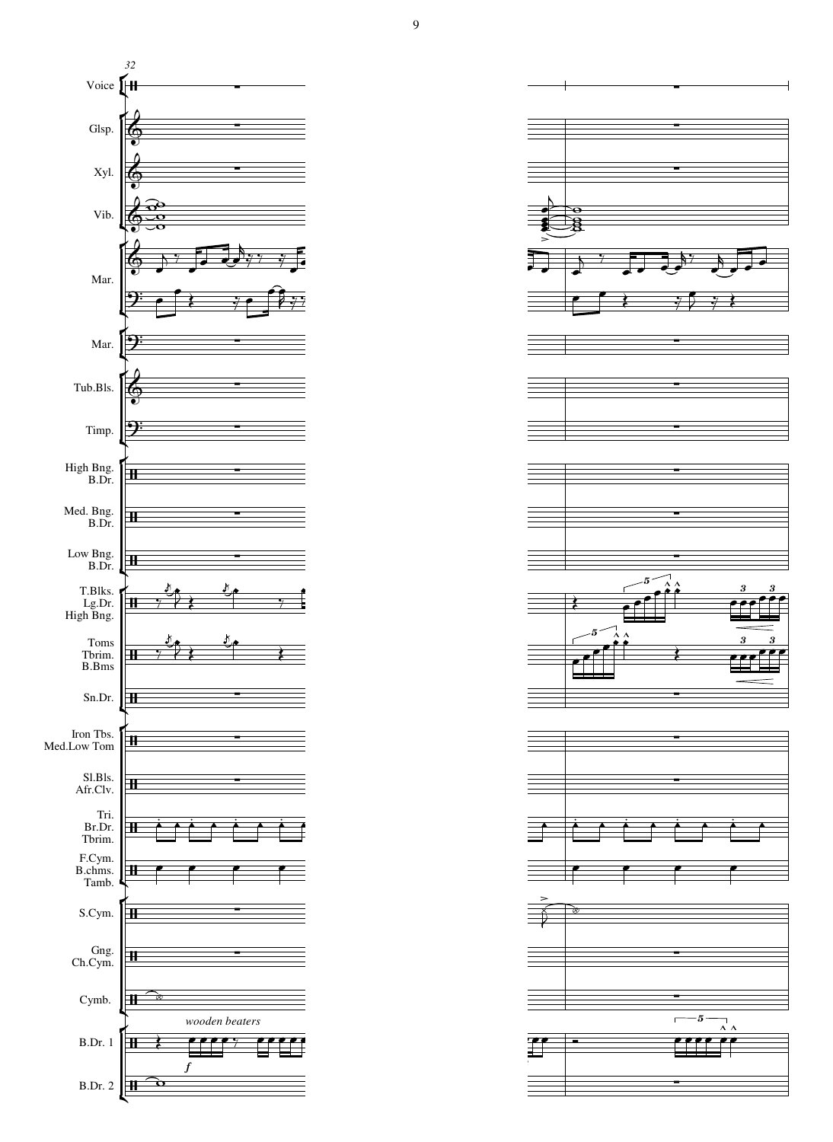

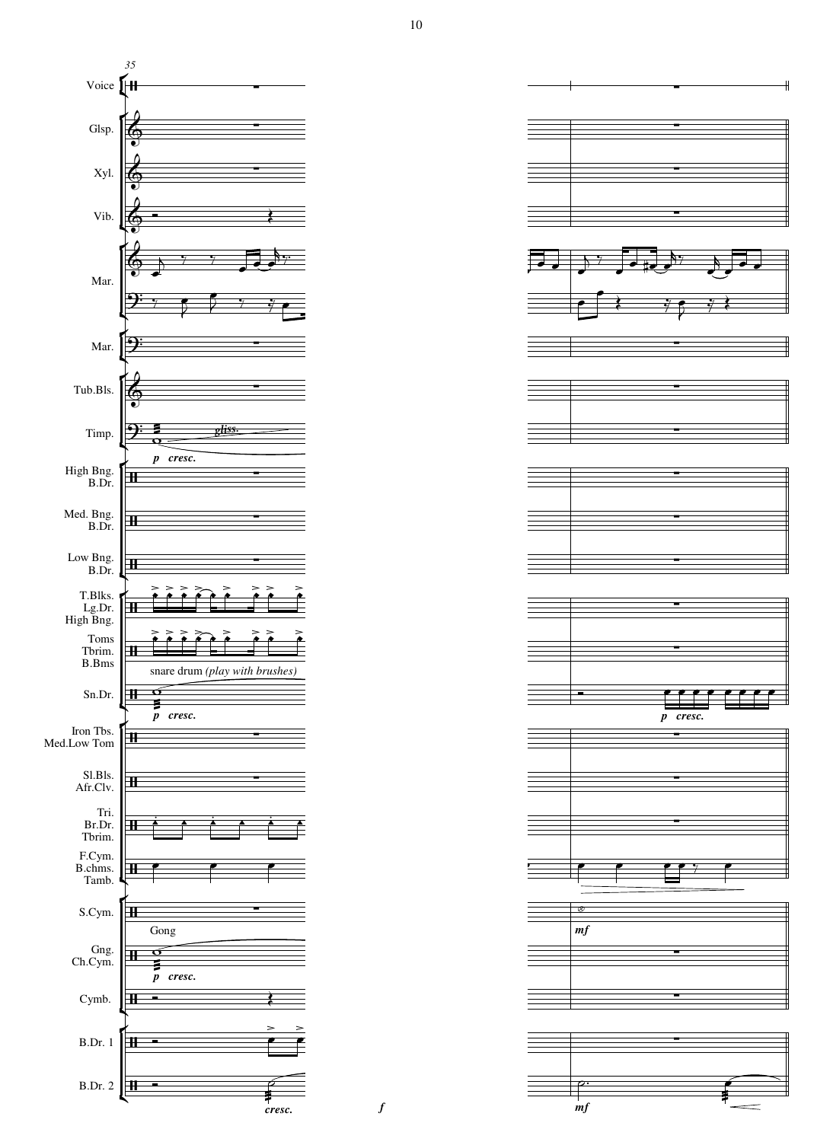



*f*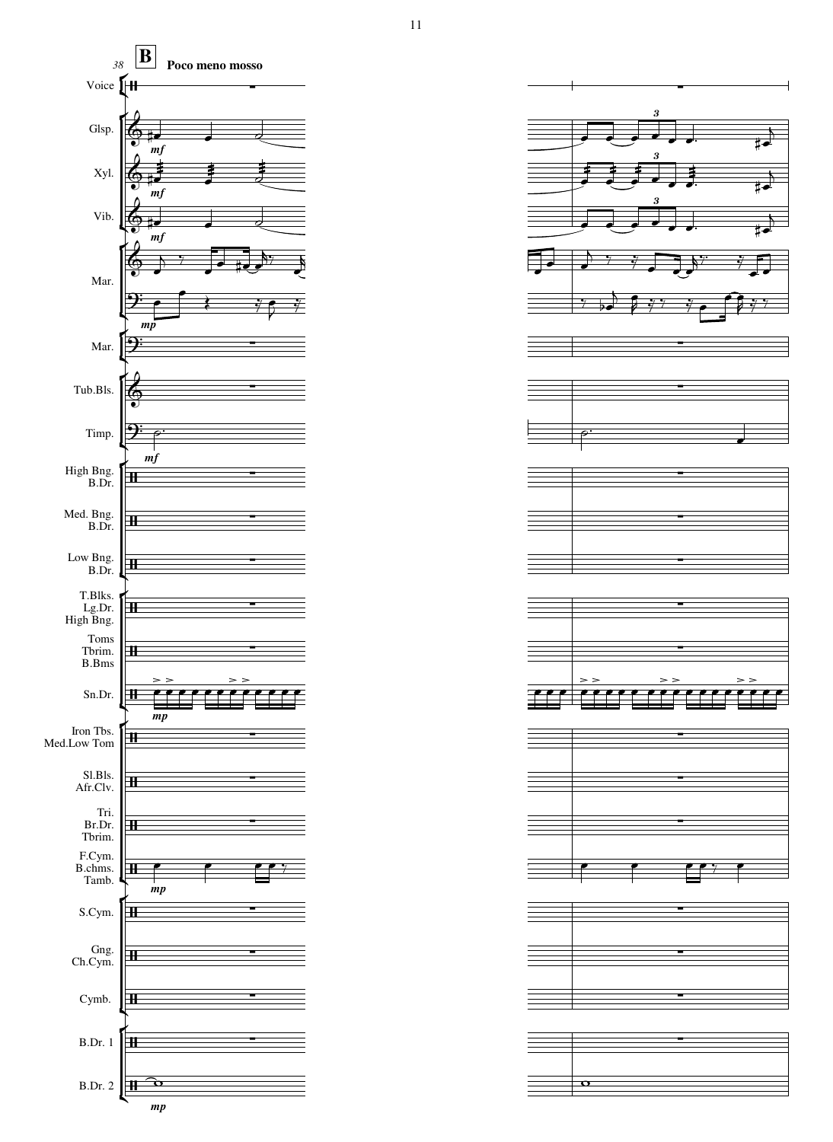

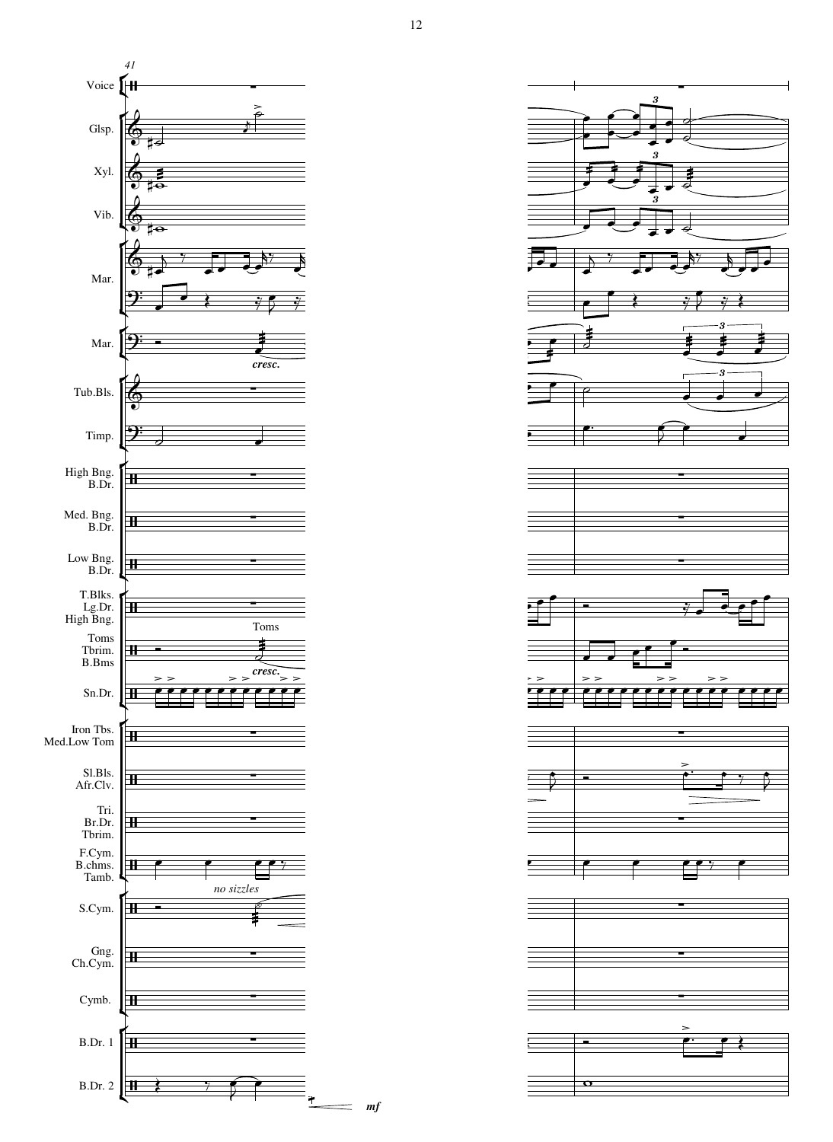



*mf*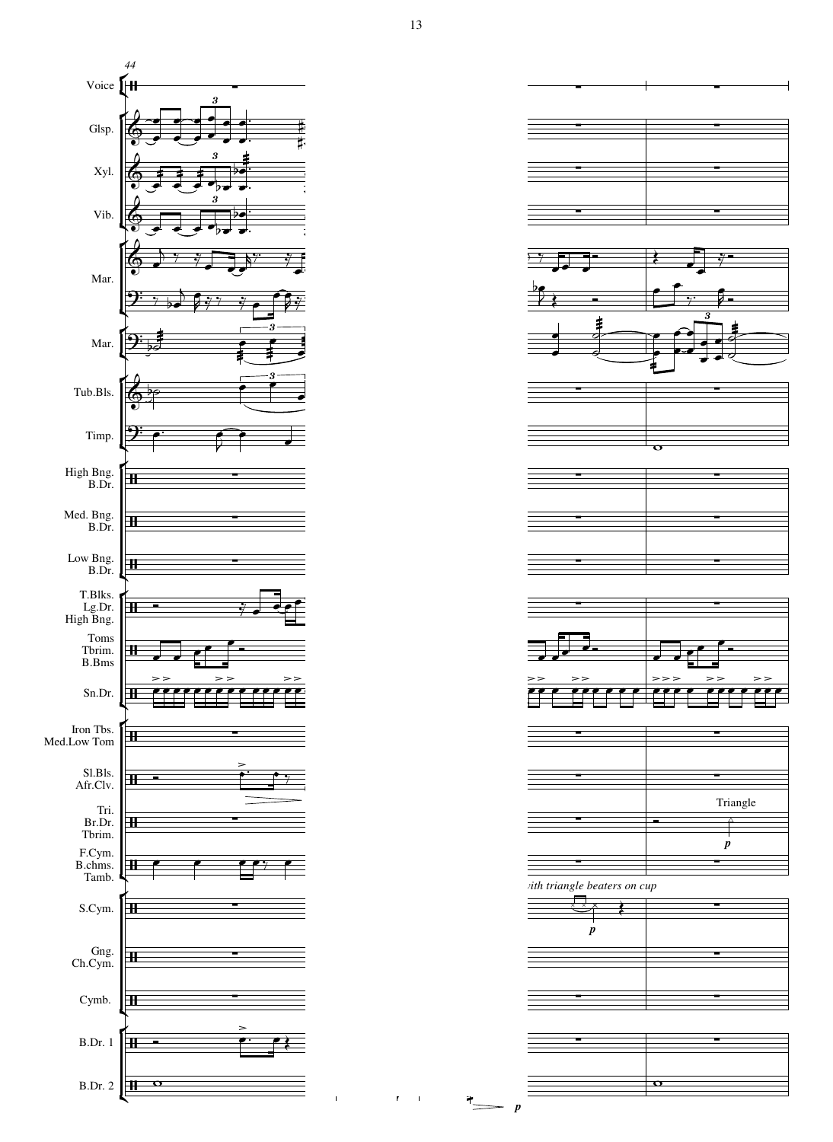



,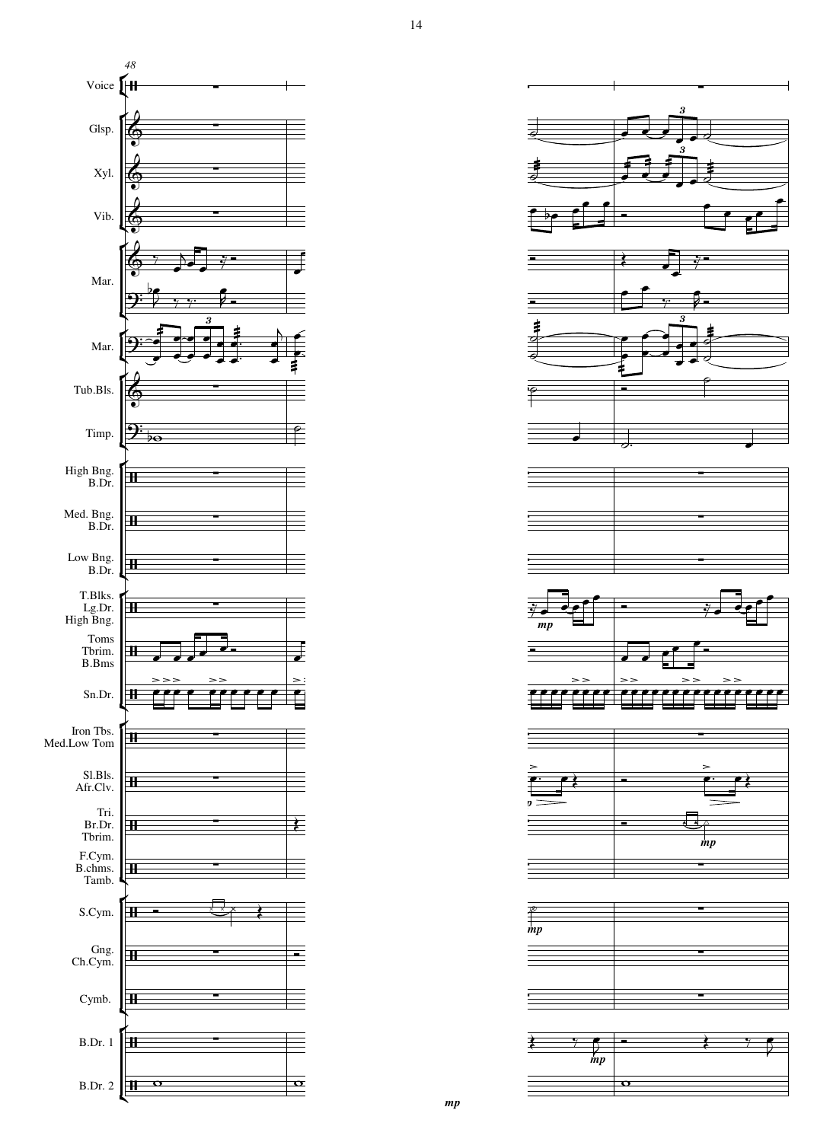



*mp*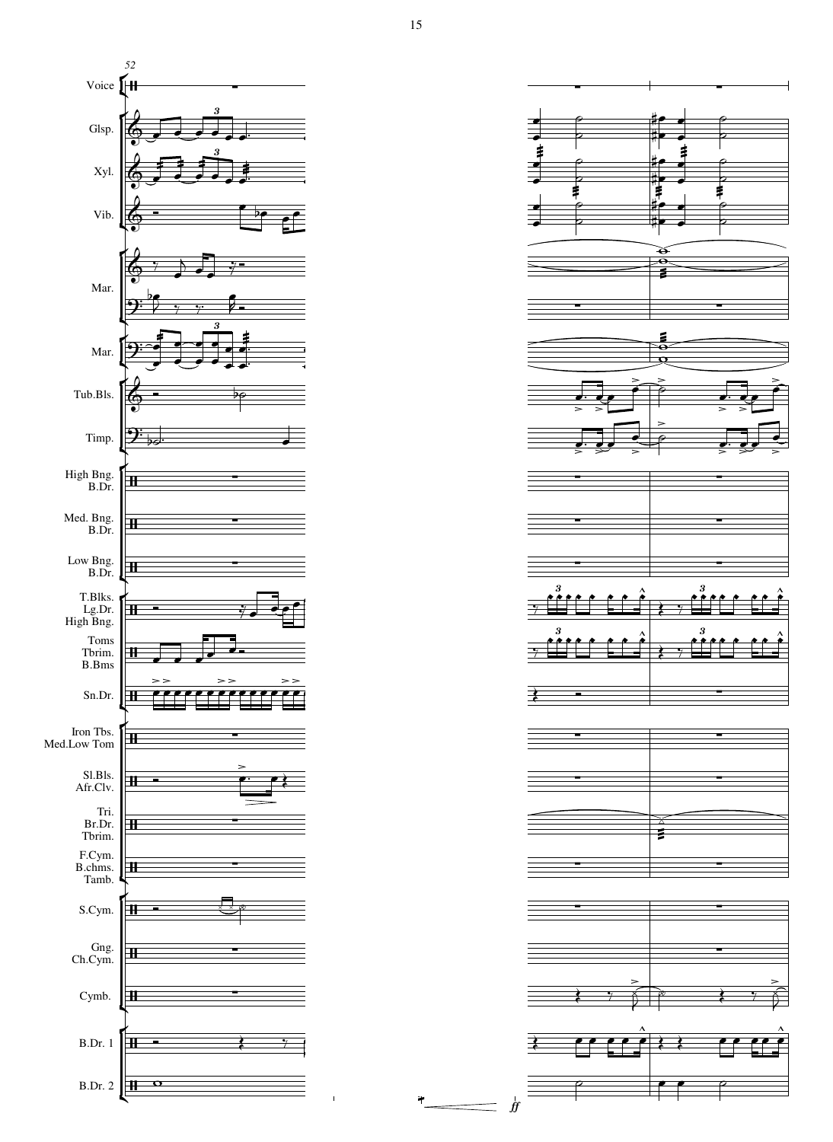



Ŧ.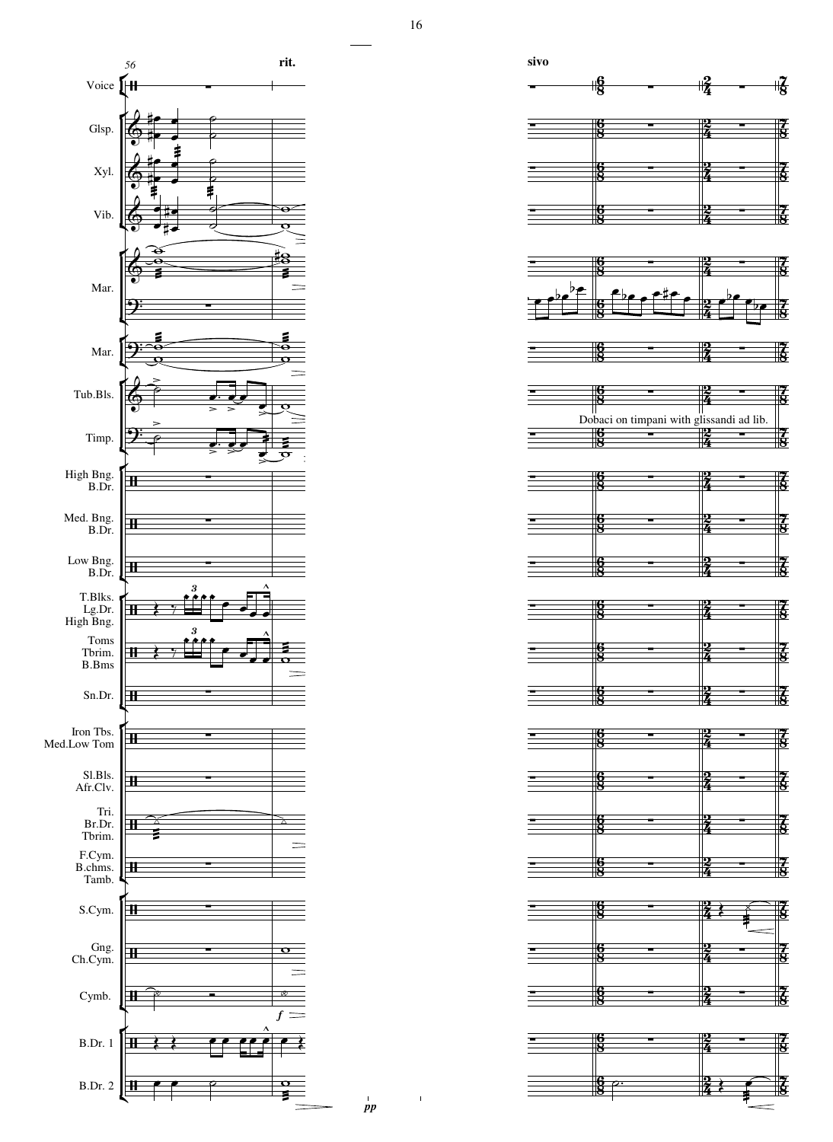



l

*pp*

l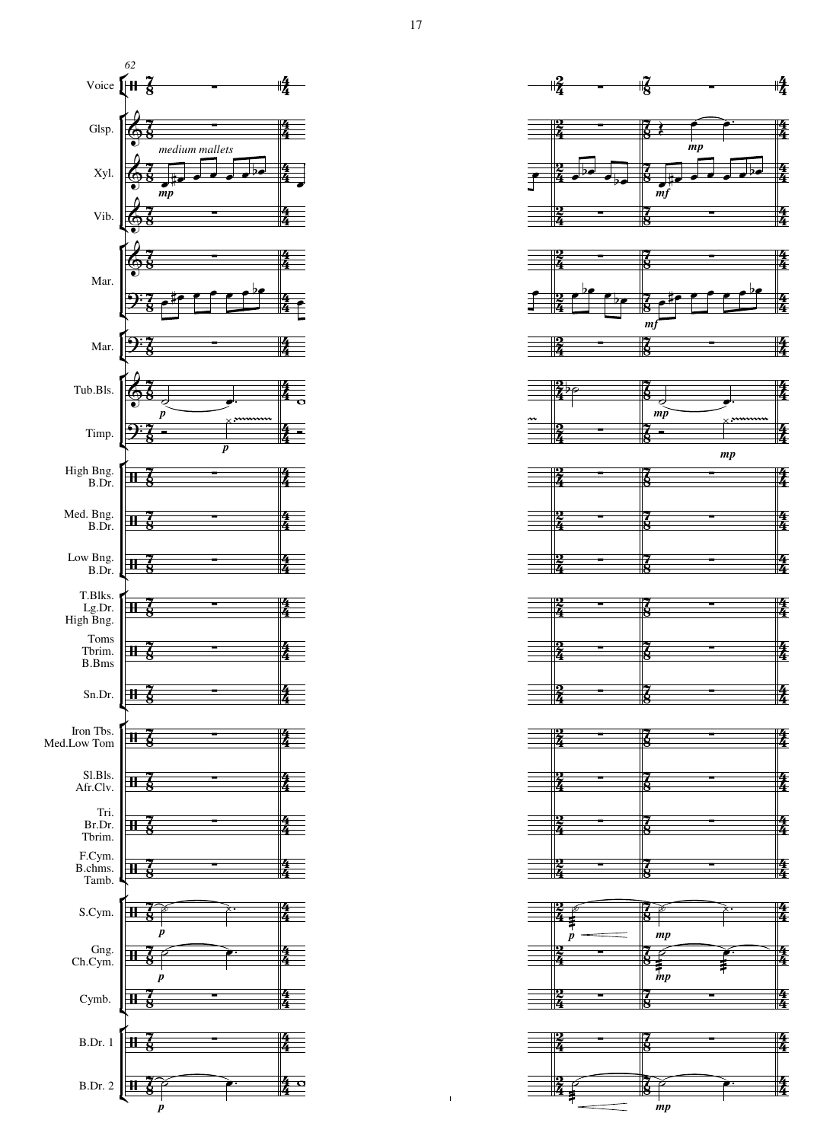



l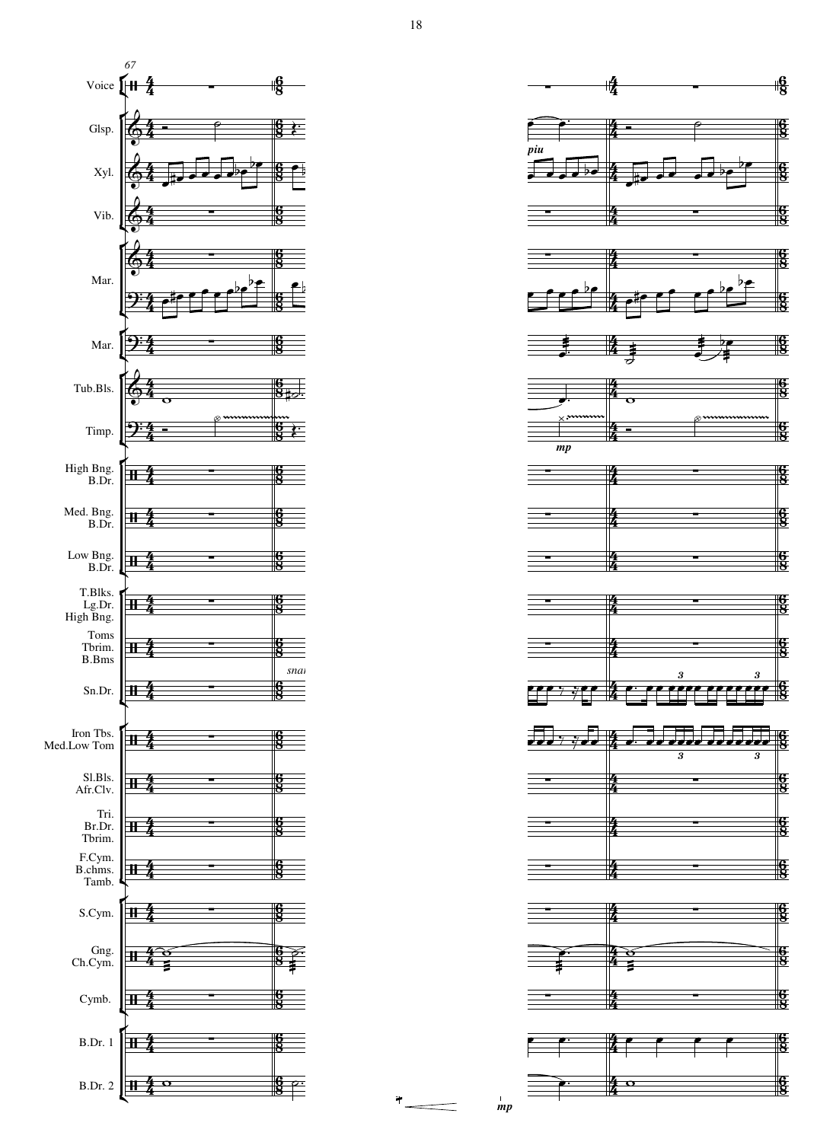



 $\overline{\mathcal{F}}$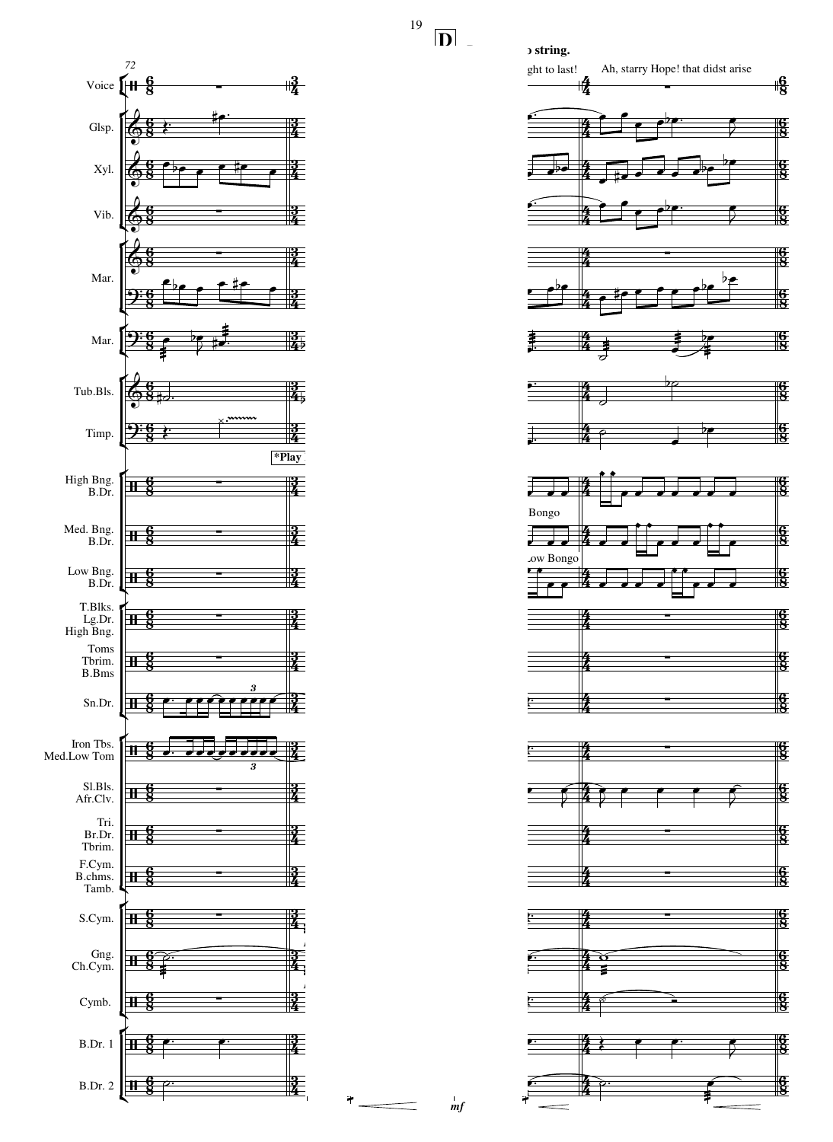

*mf*

Ŧ

 $\sim$ 



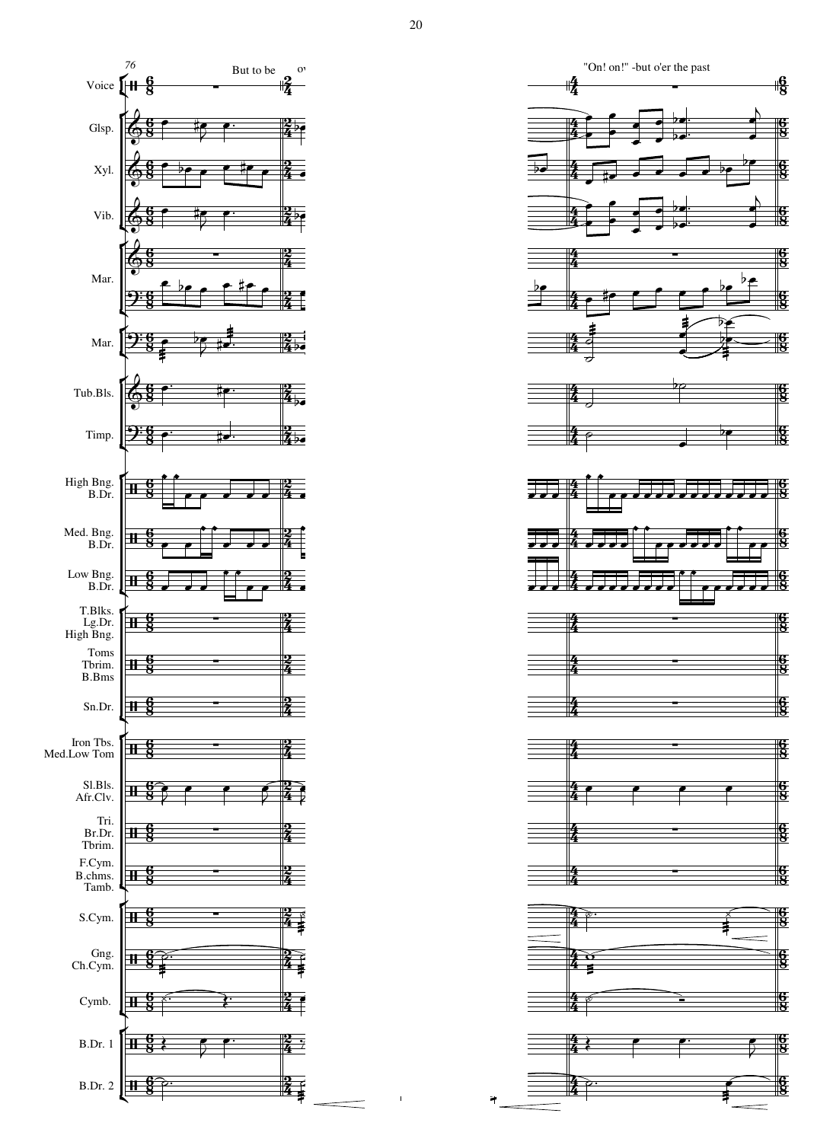

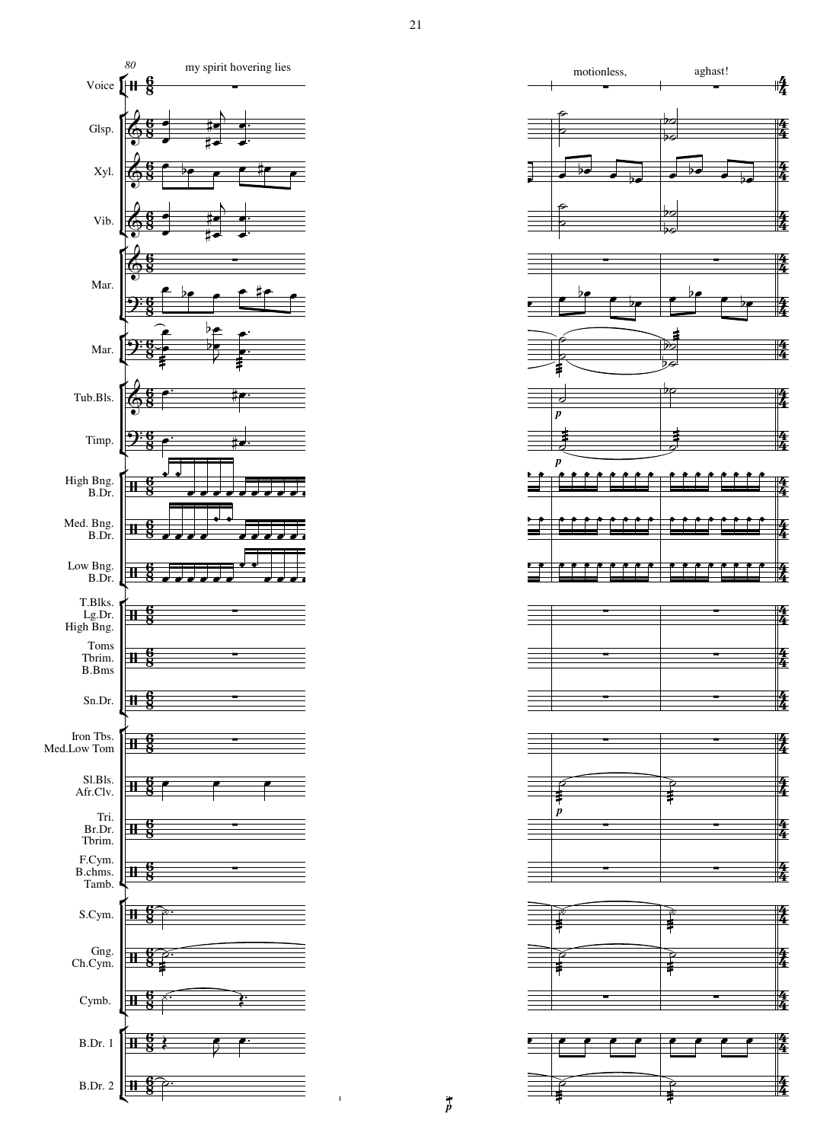



*p*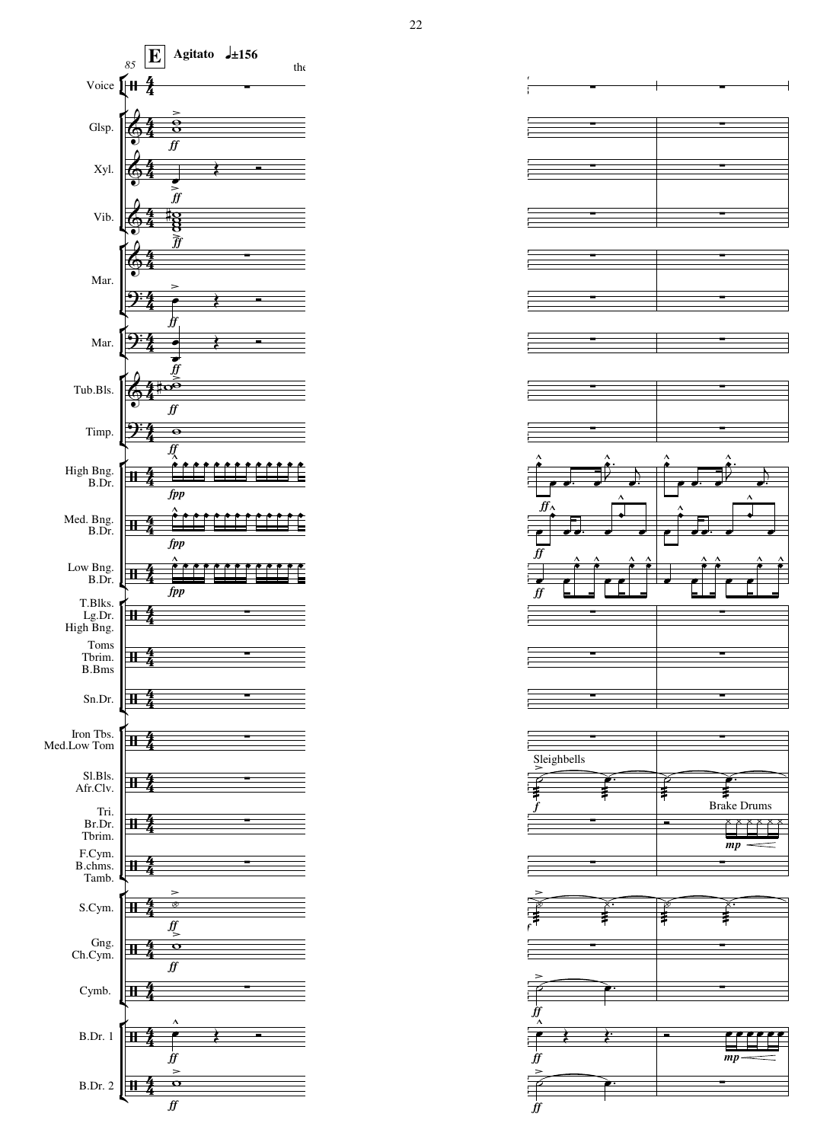



*ff*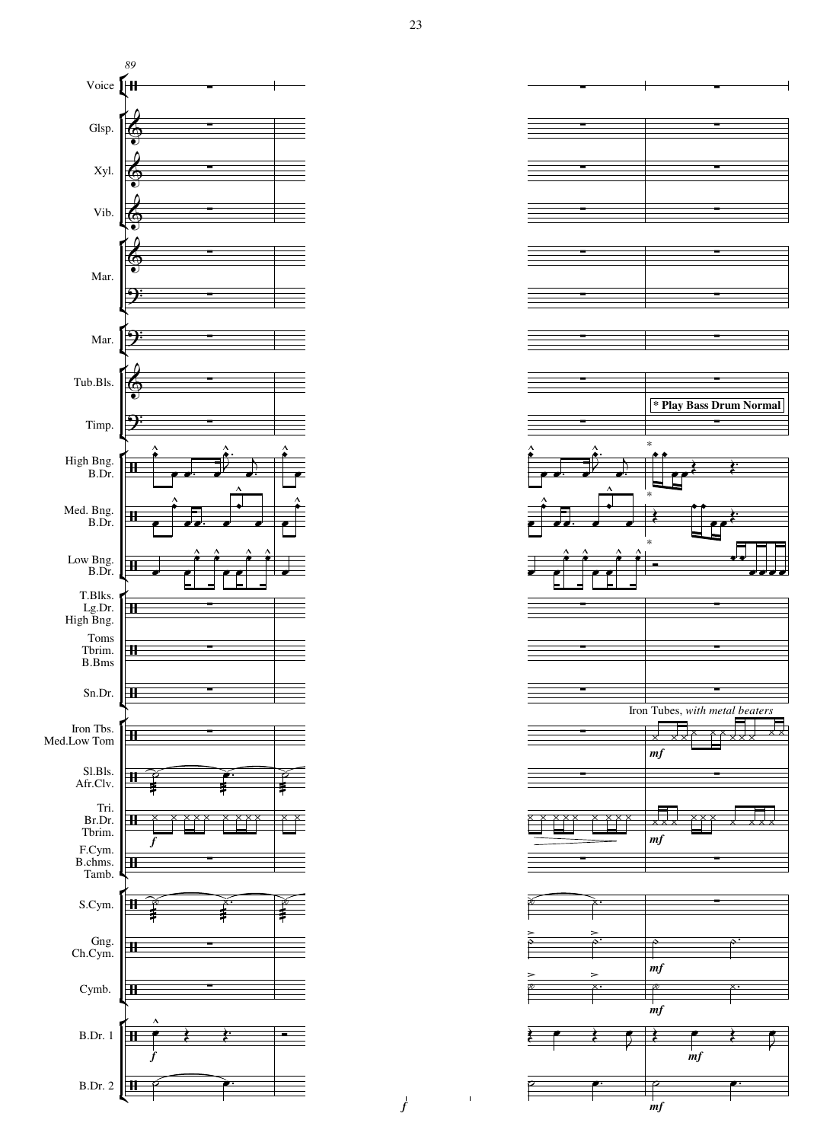



*f*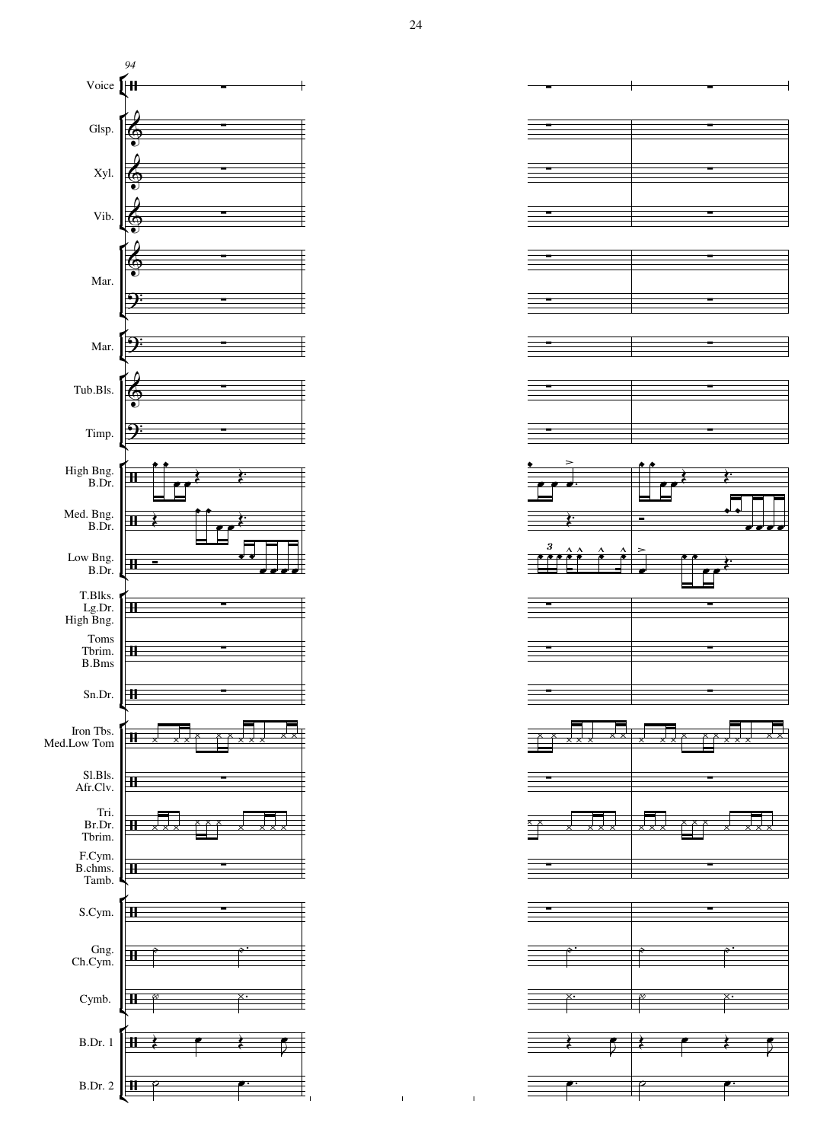

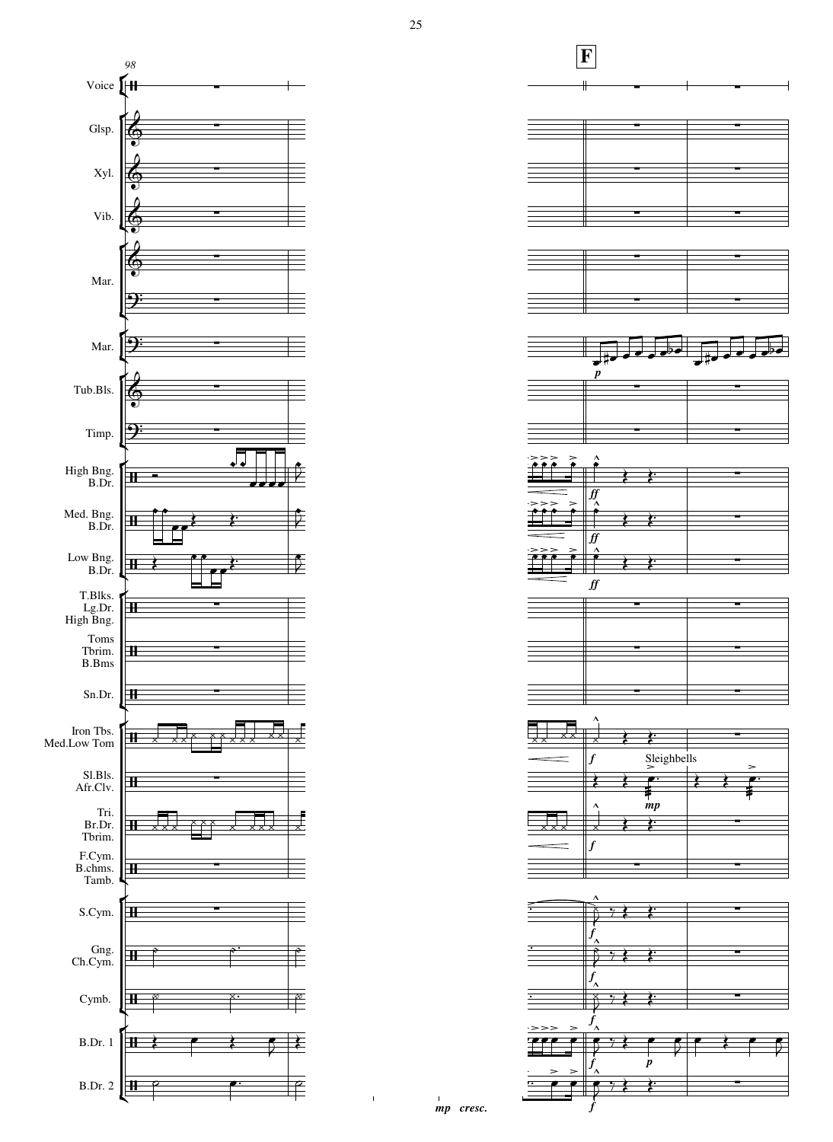

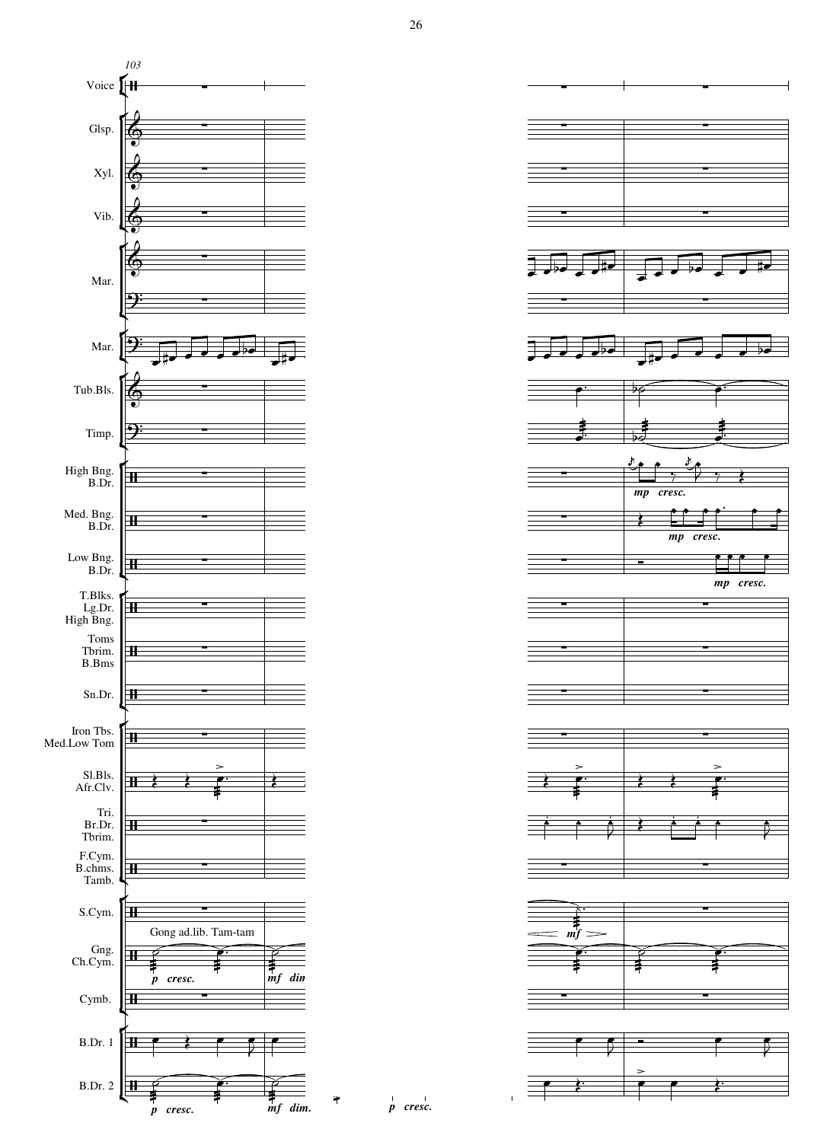



*p cresc.*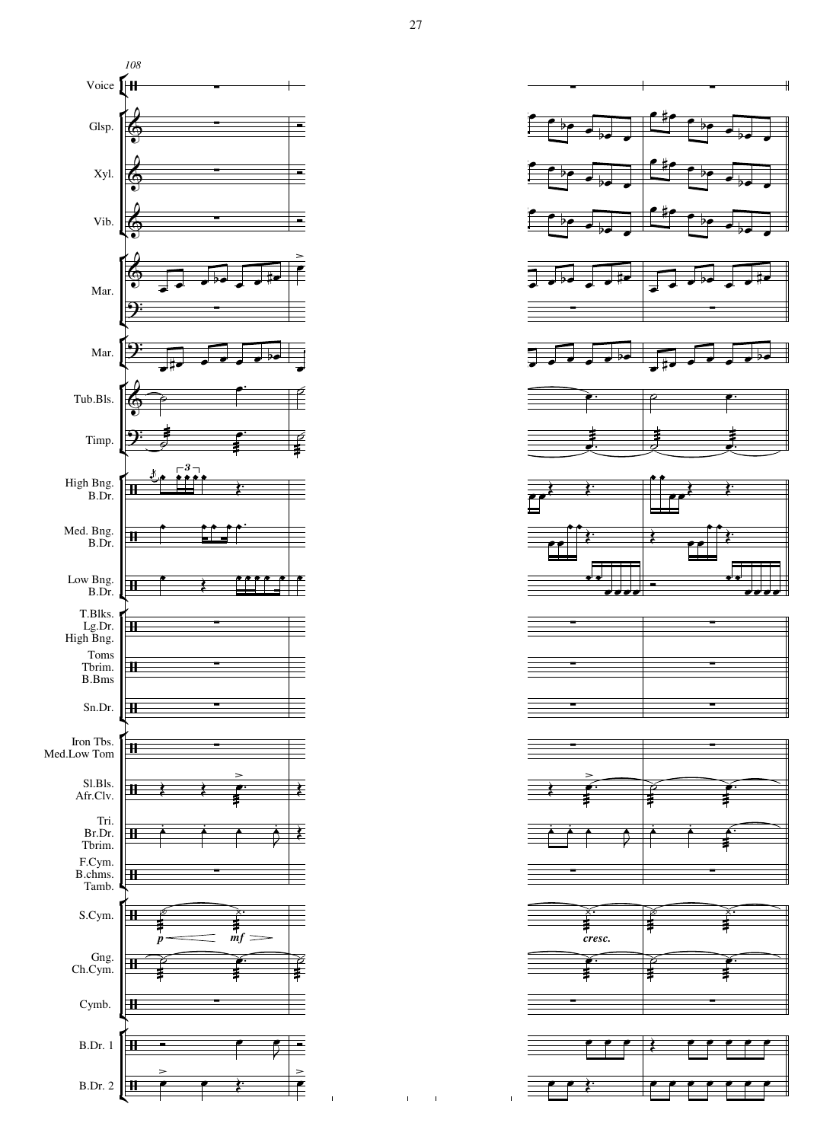

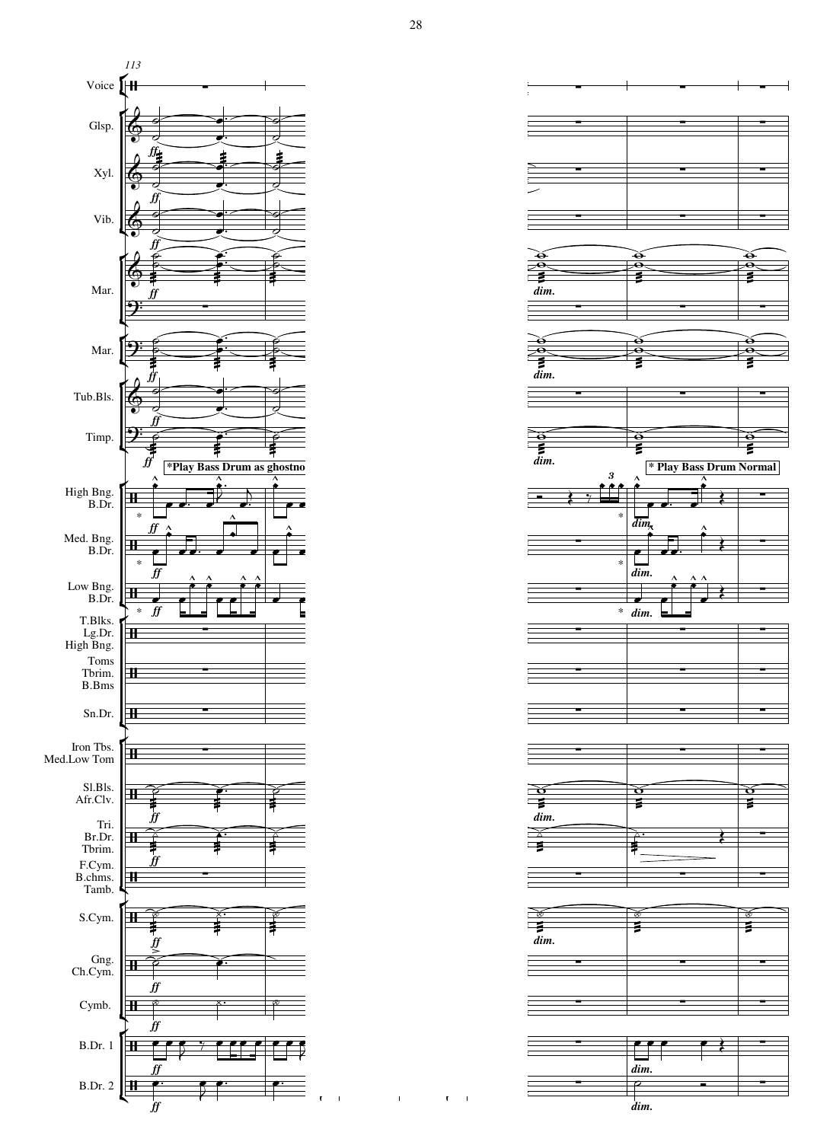



,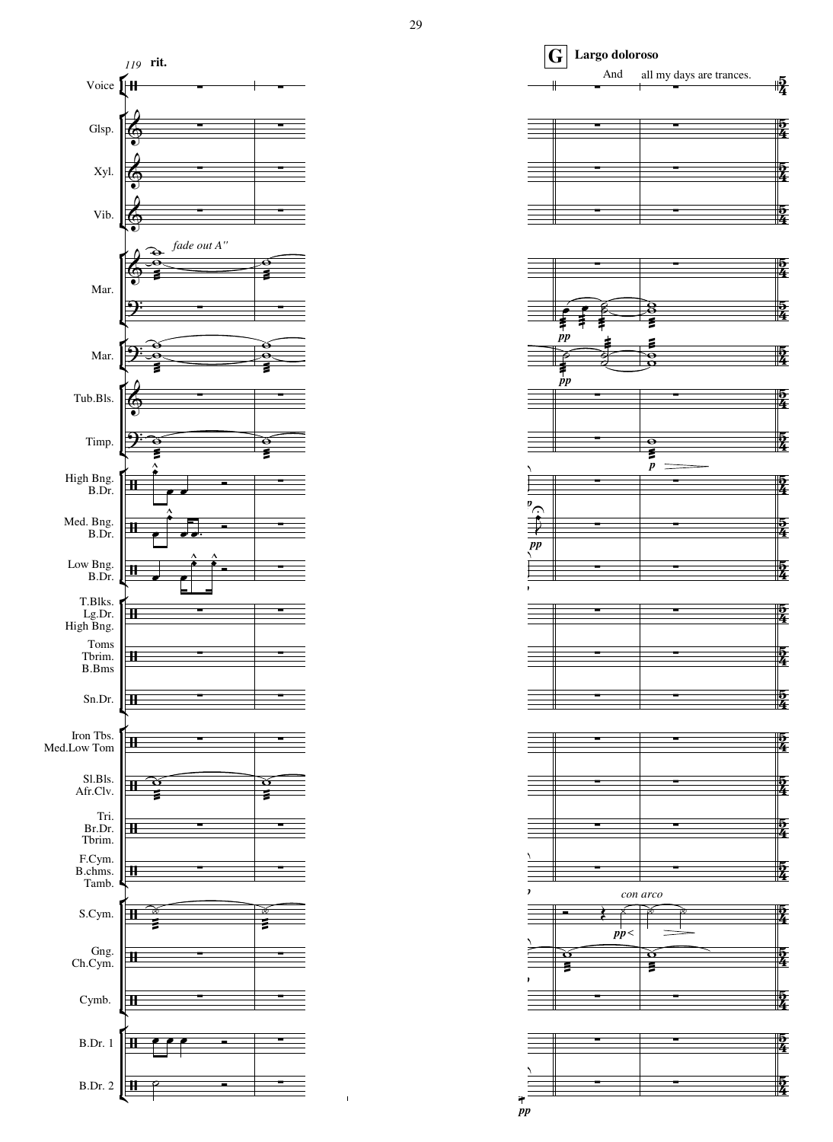

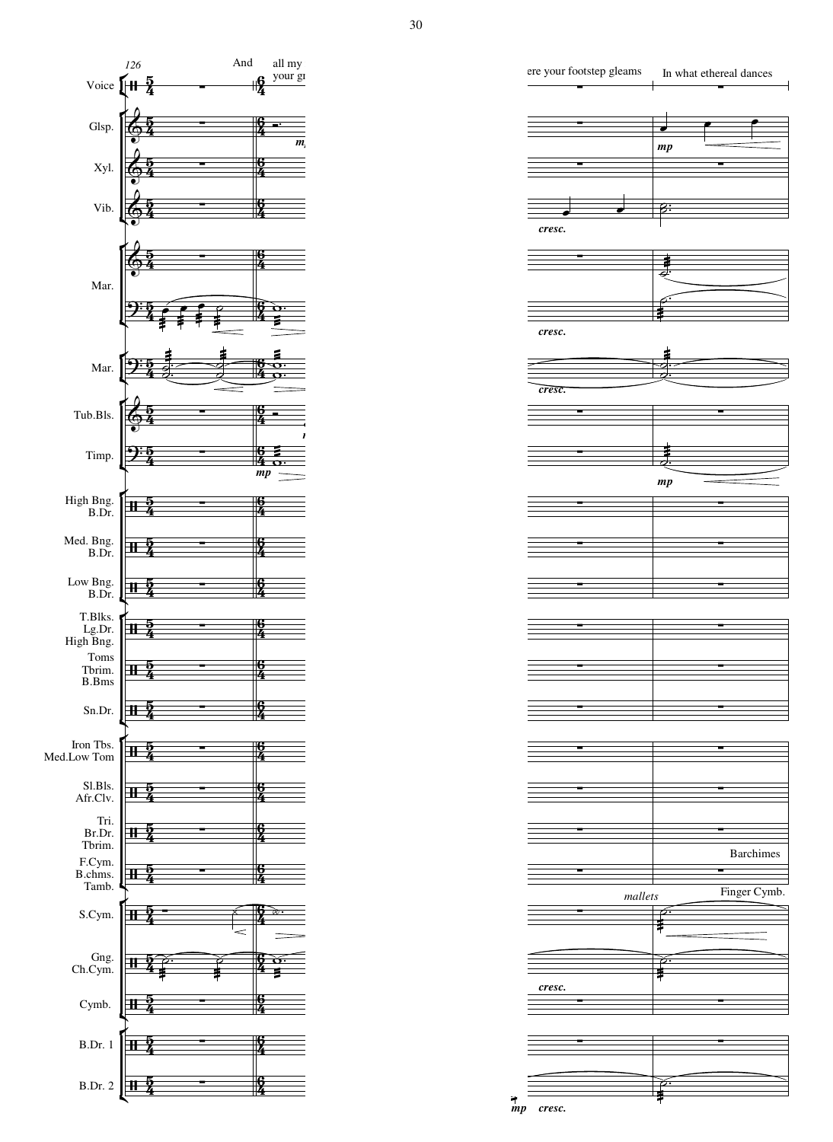



ere your footstep gleams

l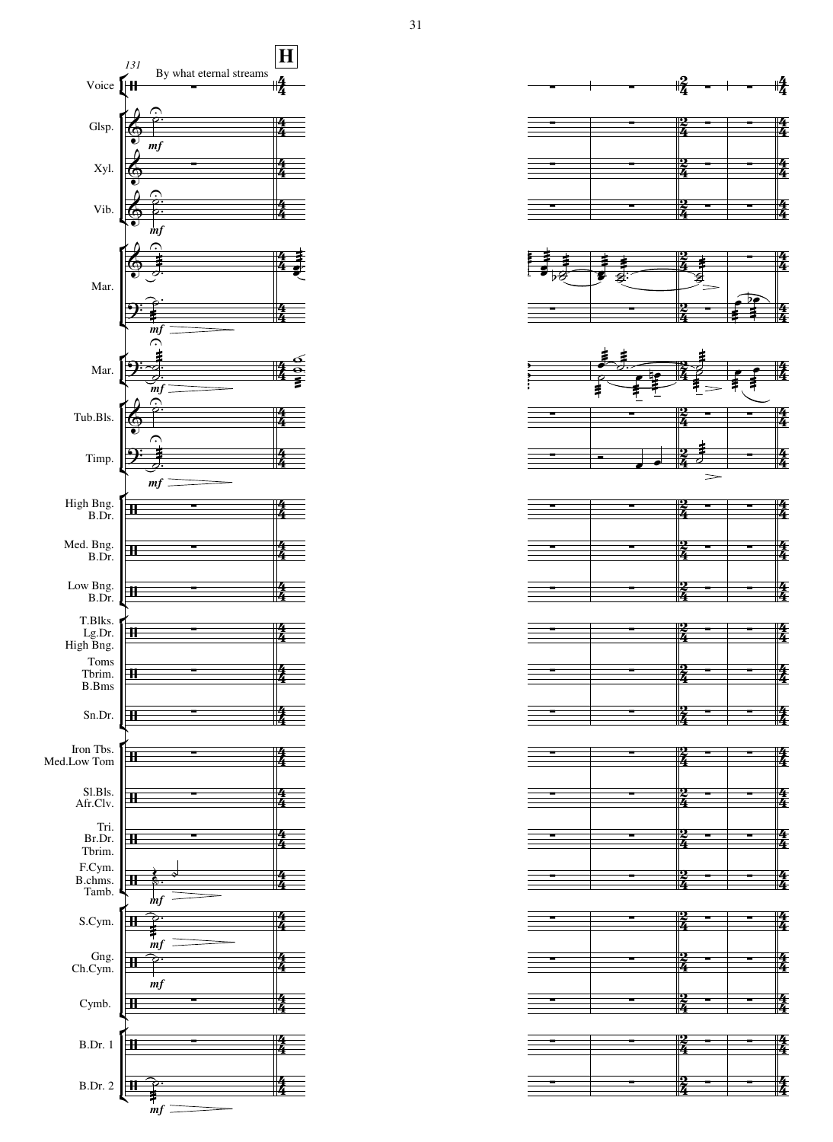



l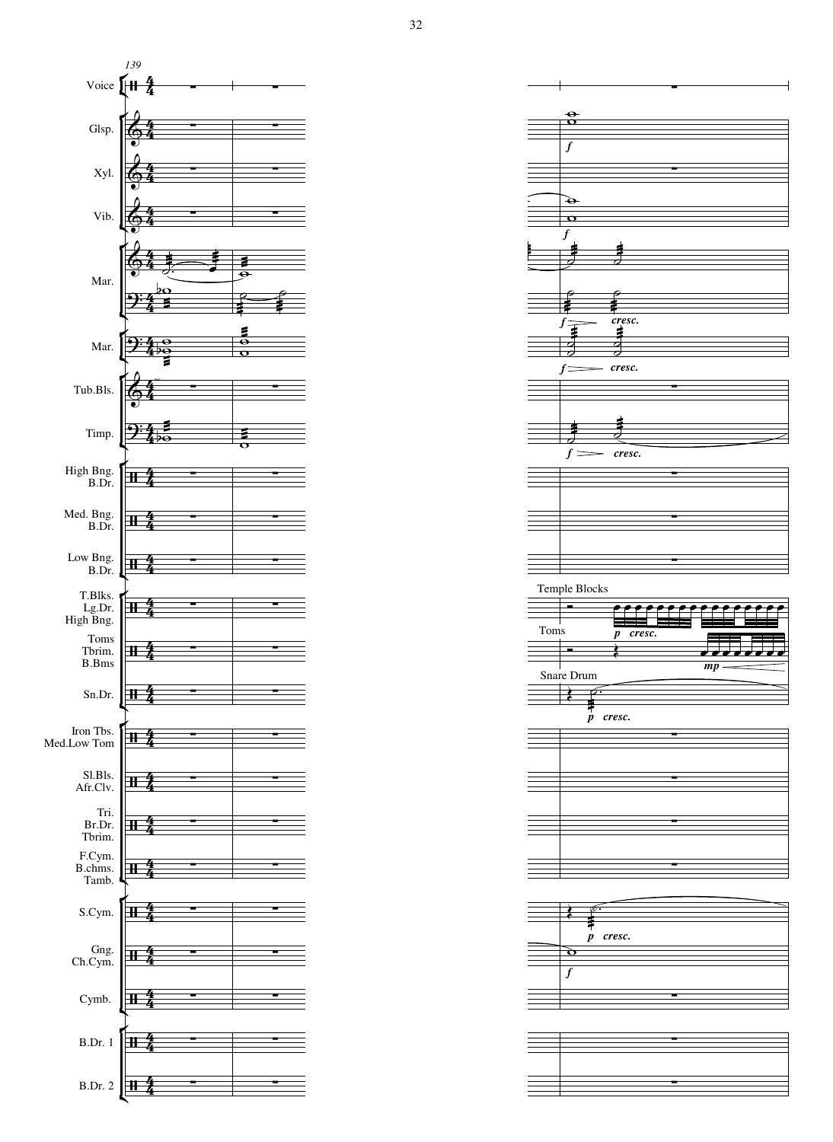

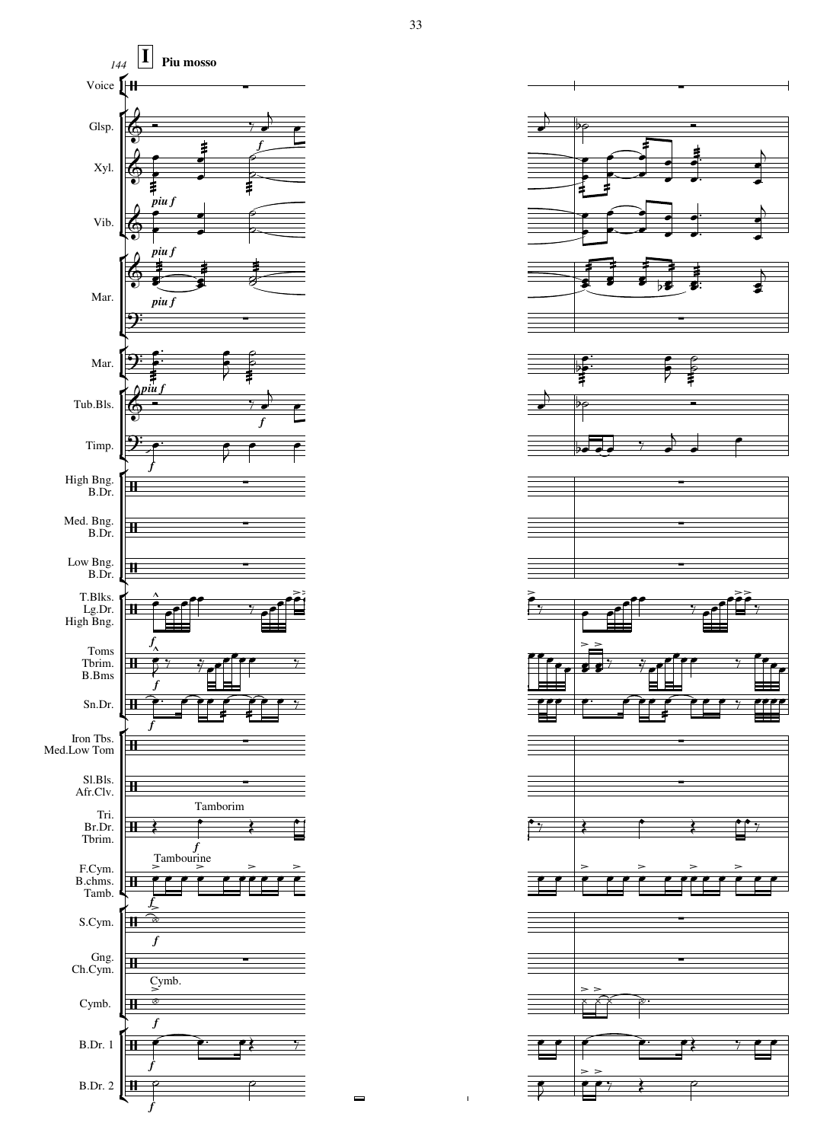

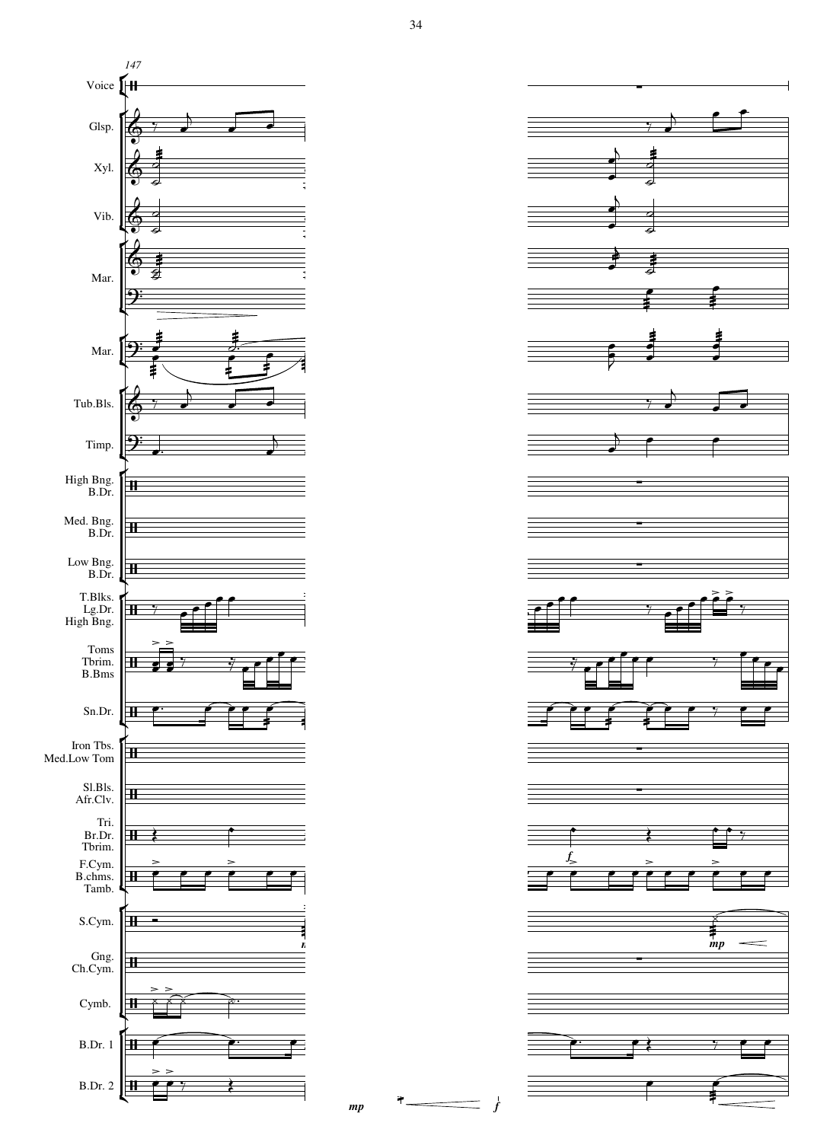

*mp*

Ŧ

İ

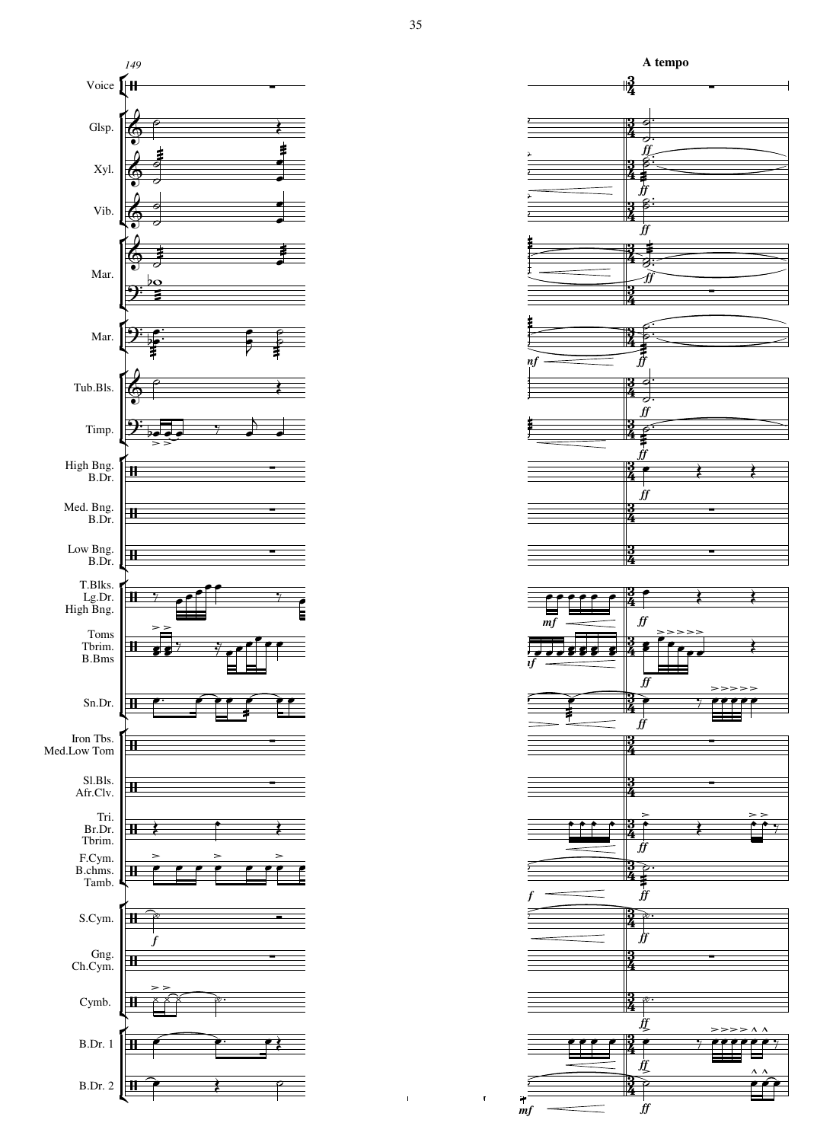

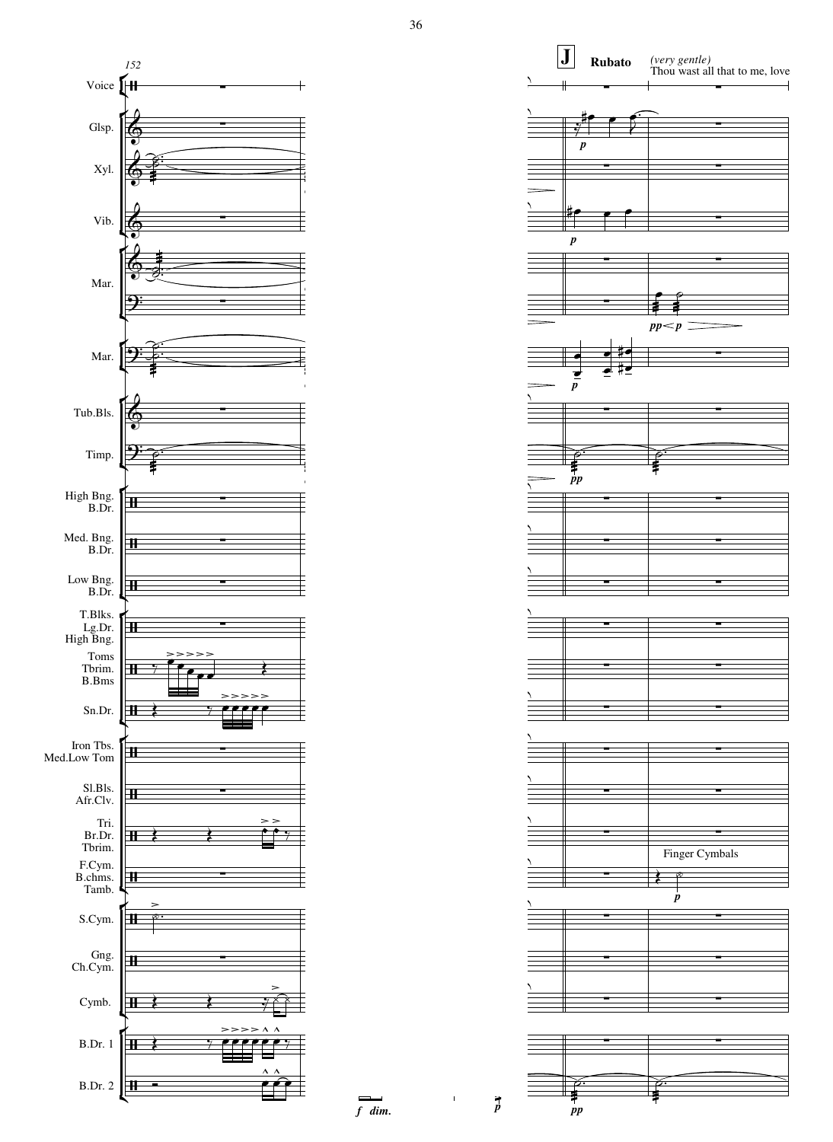



*f dim.*